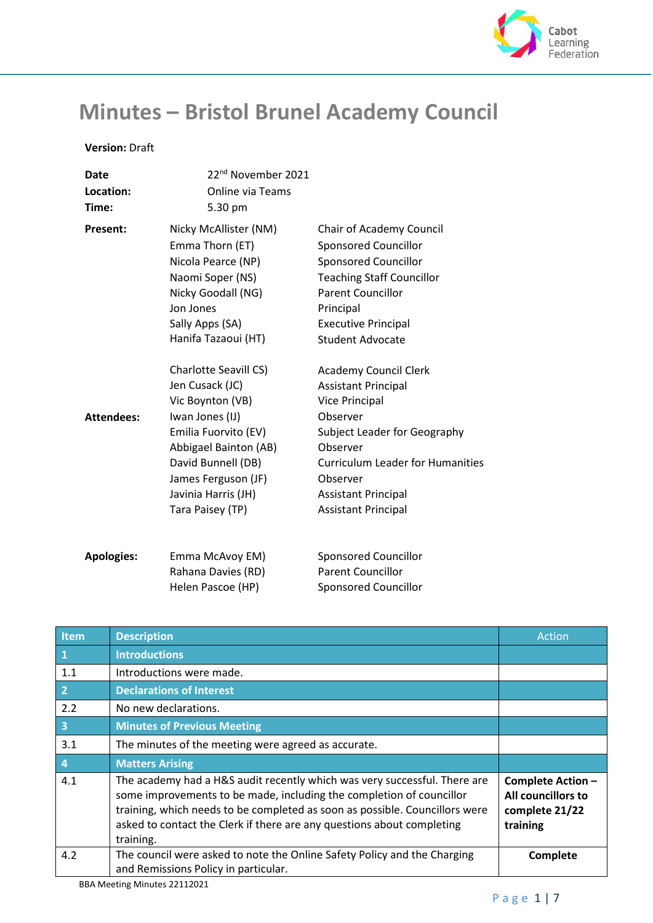

## **Minutes – Bristol Brunel Academy Council**

## **Version:** Draft

| Date              | 22 <sup>nd</sup> November 2021 |                                         |
|-------------------|--------------------------------|-----------------------------------------|
| Location:         | <b>Online via Teams</b>        |                                         |
| Time:             | 5.30 pm                        |                                         |
| Present:          | Nicky McAllister (NM)          | Chair of Academy Council                |
|                   | Emma Thorn (ET)                | <b>Sponsored Councillor</b>             |
|                   | Nicola Pearce (NP)             | <b>Sponsored Councillor</b>             |
|                   | Naomi Soper (NS)               | <b>Teaching Staff Councillor</b>        |
|                   | Nicky Goodall (NG)             | <b>Parent Councillor</b>                |
|                   | Jon Jones                      | Principal                               |
|                   | Sally Apps (SA)                | <b>Executive Principal</b>              |
|                   | Hanifa Tazaoui (HT)            | <b>Student Advocate</b>                 |
|                   | <b>Charlotte Seavill CS)</b>   | <b>Academy Council Clerk</b>            |
|                   | Jen Cusack (JC)                | <b>Assistant Principal</b>              |
|                   | Vic Boynton (VB)               | <b>Vice Principal</b>                   |
| <b>Attendees:</b> | Iwan Jones (IJ)                | Observer                                |
|                   | Emilia Fuorvito (EV)           | Subject Leader for Geography            |
|                   | Abbigael Bainton (AB)          | Observer                                |
|                   | David Bunnell (DB)             | <b>Curriculum Leader for Humanities</b> |
|                   | James Ferguson (JF)            | Observer                                |
|                   | Javinia Harris (JH)            | <b>Assistant Principal</b>              |
|                   | Tara Paisey (TP)               | <b>Assistant Principal</b>              |
| <b>Apologies:</b> | Emma McAvoy EM)                | Sponsored Councillor                    |
|                   | Rahana Davies (RD)             | <b>Parent Councillor</b>                |
|                   |                                |                                         |

Helen Pascoe (HP)

| <b>Item</b>             | <b>Description</b>                                                                                                                                                                                                                                                                                                      | Action                                                                |
|-------------------------|-------------------------------------------------------------------------------------------------------------------------------------------------------------------------------------------------------------------------------------------------------------------------------------------------------------------------|-----------------------------------------------------------------------|
| $\mathbf{1}$            | <b>Introductions</b>                                                                                                                                                                                                                                                                                                    |                                                                       |
| 1.1                     | Introductions were made.                                                                                                                                                                                                                                                                                                |                                                                       |
| $\overline{2}$          | <b>Declarations of Interest</b>                                                                                                                                                                                                                                                                                         |                                                                       |
| 2.2                     | No new declarations.                                                                                                                                                                                                                                                                                                    |                                                                       |
| $\overline{\mathbf{3}}$ | <b>Minutes of Previous Meeting</b>                                                                                                                                                                                                                                                                                      |                                                                       |
| 3.1                     | The minutes of the meeting were agreed as accurate.                                                                                                                                                                                                                                                                     |                                                                       |
| $\overline{4}$          | <b>Matters Arising</b>                                                                                                                                                                                                                                                                                                  |                                                                       |
| 4.1                     | The academy had a H&S audit recently which was very successful. There are<br>some improvements to be made, including the completion of councillor<br>training, which needs to be completed as soon as possible. Councillors were<br>asked to contact the Clerk if there are any questions about completing<br>training. | Complete Action -<br>All councillors to<br>complete 21/22<br>training |
| 4.2                     | The council were asked to note the Online Safety Policy and the Charging<br>and Remissions Policy in particular.                                                                                                                                                                                                        | Complete                                                              |

Sponsored Councillor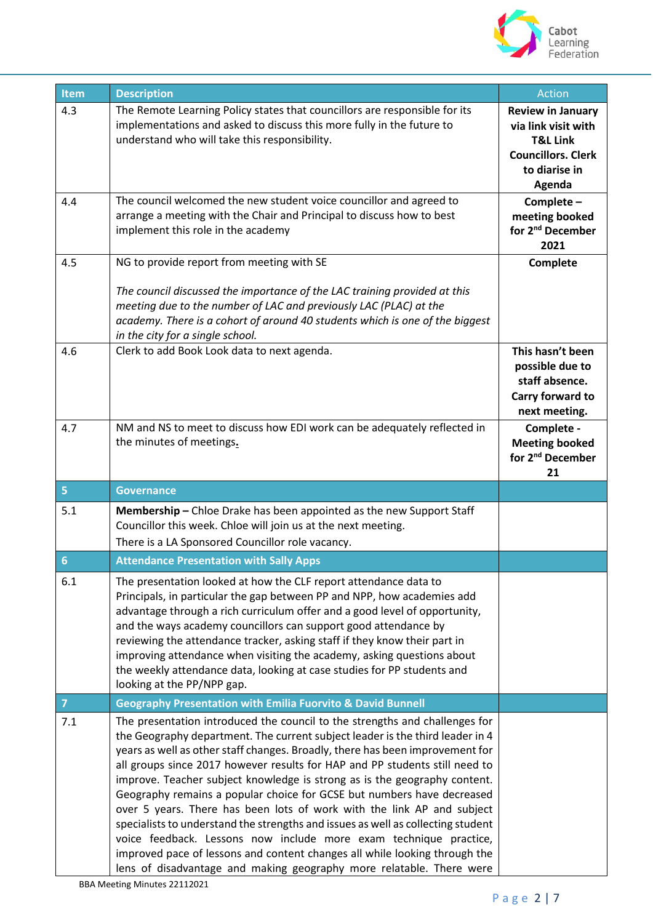

| Item           | <b>Description</b>                                                                                                                                                                                                                                                                                                                                                                                                                                                                                                                                                                                                                                                                                                                                                                                                                                                           | Action                                                                                                                         |
|----------------|------------------------------------------------------------------------------------------------------------------------------------------------------------------------------------------------------------------------------------------------------------------------------------------------------------------------------------------------------------------------------------------------------------------------------------------------------------------------------------------------------------------------------------------------------------------------------------------------------------------------------------------------------------------------------------------------------------------------------------------------------------------------------------------------------------------------------------------------------------------------------|--------------------------------------------------------------------------------------------------------------------------------|
| 4.3            | The Remote Learning Policy states that councillors are responsible for its<br>implementations and asked to discuss this more fully in the future to<br>understand who will take this responsibility.                                                                                                                                                                                                                                                                                                                                                                                                                                                                                                                                                                                                                                                                         | <b>Review in January</b><br>via link visit with<br><b>T&amp;L Link</b><br><b>Councillors. Clerk</b><br>to diarise in<br>Agenda |
| 4.4            | The council welcomed the new student voice councillor and agreed to<br>arrange a meeting with the Chair and Principal to discuss how to best<br>implement this role in the academy                                                                                                                                                                                                                                                                                                                                                                                                                                                                                                                                                                                                                                                                                           | Complete-<br>meeting booked<br>for 2 <sup>nd</sup> December<br>2021                                                            |
| 4.5            | NG to provide report from meeting with SE                                                                                                                                                                                                                                                                                                                                                                                                                                                                                                                                                                                                                                                                                                                                                                                                                                    | Complete                                                                                                                       |
|                | The council discussed the importance of the LAC training provided at this<br>meeting due to the number of LAC and previously LAC (PLAC) at the<br>academy. There is a cohort of around 40 students which is one of the biggest<br>in the city for a single school.                                                                                                                                                                                                                                                                                                                                                                                                                                                                                                                                                                                                           |                                                                                                                                |
| 4.6            | Clerk to add Book Look data to next agenda.                                                                                                                                                                                                                                                                                                                                                                                                                                                                                                                                                                                                                                                                                                                                                                                                                                  | This hasn't been<br>possible due to<br>staff absence.<br>Carry forward to<br>next meeting.                                     |
| 4.7            | NM and NS to meet to discuss how EDI work can be adequately reflected in<br>the minutes of meetings.                                                                                                                                                                                                                                                                                                                                                                                                                                                                                                                                                                                                                                                                                                                                                                         | Complete -<br><b>Meeting booked</b><br>for 2 <sup>nd</sup> December<br>21                                                      |
| 5 <sub>5</sub> | <b>Governance</b>                                                                                                                                                                                                                                                                                                                                                                                                                                                                                                                                                                                                                                                                                                                                                                                                                                                            |                                                                                                                                |
| 5.1            | Membership - Chloe Drake has been appointed as the new Support Staff<br>Councillor this week. Chloe will join us at the next meeting.<br>There is a LA Sponsored Councillor role vacancy.                                                                                                                                                                                                                                                                                                                                                                                                                                                                                                                                                                                                                                                                                    |                                                                                                                                |
| 6              | <b>Attendance Presentation with Sally Apps</b>                                                                                                                                                                                                                                                                                                                                                                                                                                                                                                                                                                                                                                                                                                                                                                                                                               |                                                                                                                                |
| $6.1\,$        | The presentation looked at how the CLF report attendance data to<br>Principals, in particular the gap between PP and NPP, how academies add<br>advantage through a rich curriculum offer and a good level of opportunity,<br>and the ways academy councillors can support good attendance by<br>reviewing the attendance tracker, asking staff if they know their part in<br>improving attendance when visiting the academy, asking questions about<br>the weekly attendance data, looking at case studies for PP students and<br>looking at the PP/NPP gap.                                                                                                                                                                                                                                                                                                                 |                                                                                                                                |
| $\overline{7}$ | <b>Geography Presentation with Emilia Fuorvito &amp; David Bunnell</b>                                                                                                                                                                                                                                                                                                                                                                                                                                                                                                                                                                                                                                                                                                                                                                                                       |                                                                                                                                |
| 7.1            | The presentation introduced the council to the strengths and challenges for<br>the Geography department. The current subject leader is the third leader in 4<br>years as well as other staff changes. Broadly, there has been improvement for<br>all groups since 2017 however results for HAP and PP students still need to<br>improve. Teacher subject knowledge is strong as is the geography content.<br>Geography remains a popular choice for GCSE but numbers have decreased<br>over 5 years. There has been lots of work with the link AP and subject<br>specialists to understand the strengths and issues as well as collecting student<br>voice feedback. Lessons now include more exam technique practice,<br>improved pace of lessons and content changes all while looking through the<br>lens of disadvantage and making geography more relatable. There were |                                                                                                                                |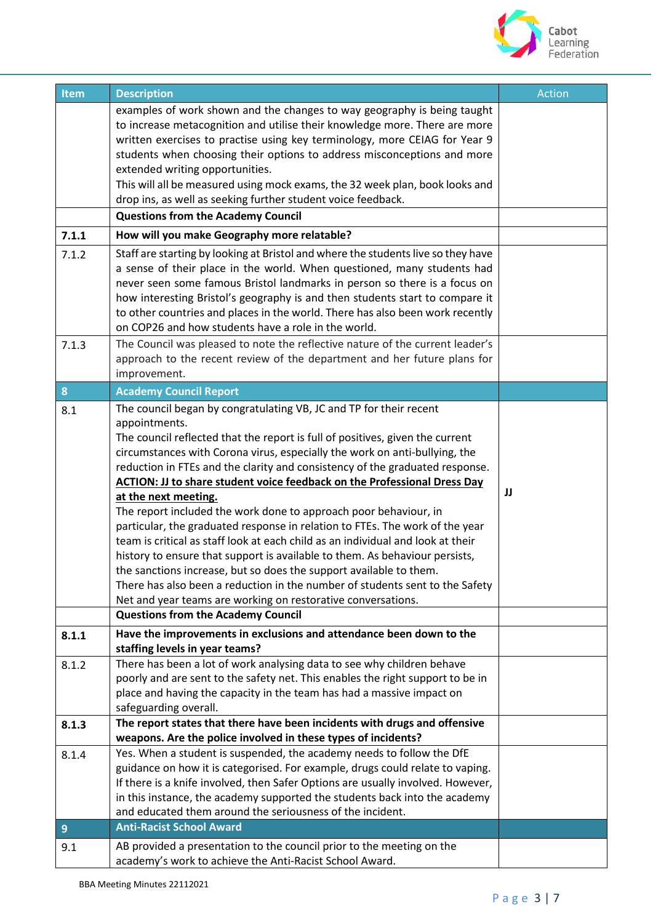

| Item             | <b>Description</b>                                                                                                                               | Action |
|------------------|--------------------------------------------------------------------------------------------------------------------------------------------------|--------|
|                  | examples of work shown and the changes to way geography is being taught                                                                          |        |
|                  | to increase metacognition and utilise their knowledge more. There are more                                                                       |        |
|                  | written exercises to practise using key terminology, more CEIAG for Year 9                                                                       |        |
|                  | students when choosing their options to address misconceptions and more                                                                          |        |
|                  | extended writing opportunities.                                                                                                                  |        |
|                  | This will all be measured using mock exams, the 32 week plan, book looks and                                                                     |        |
|                  | drop ins, as well as seeking further student voice feedback.                                                                                     |        |
|                  | <b>Questions from the Academy Council</b>                                                                                                        |        |
| 7.1.1            | How will you make Geography more relatable?                                                                                                      |        |
| 7.1.2            | Staff are starting by looking at Bristol and where the students live so they have                                                                |        |
|                  | a sense of their place in the world. When questioned, many students had                                                                          |        |
|                  | never seen some famous Bristol landmarks in person so there is a focus on                                                                        |        |
|                  | how interesting Bristol's geography is and then students start to compare it                                                                     |        |
|                  | to other countries and places in the world. There has also been work recently<br>on COP26 and how students have a role in the world.             |        |
| 7.1.3            | The Council was pleased to note the reflective nature of the current leader's                                                                    |        |
|                  | approach to the recent review of the department and her future plans for                                                                         |        |
|                  | improvement.                                                                                                                                     |        |
| $\boldsymbol{8}$ | <b>Academy Council Report</b>                                                                                                                    |        |
| 8.1              | The council began by congratulating VB, JC and TP for their recent                                                                               |        |
|                  | appointments.                                                                                                                                    |        |
|                  | The council reflected that the report is full of positives, given the current                                                                    |        |
|                  | circumstances with Corona virus, especially the work on anti-bullying, the                                                                       |        |
|                  | reduction in FTEs and the clarity and consistency of the graduated response.                                                                     |        |
|                  | <b>ACTION: JJ to share student voice feedback on the Professional Dress Day</b>                                                                  | JJ     |
|                  | at the next meeting.                                                                                                                             |        |
|                  | The report included the work done to approach poor behaviour, in<br>particular, the graduated response in relation to FTEs. The work of the year |        |
|                  | team is critical as staff look at each child as an individual and look at their                                                                  |        |
|                  | history to ensure that support is available to them. As behaviour persists,                                                                      |        |
|                  | the sanctions increase, but so does the support available to them.                                                                               |        |
|                  | There has also been a reduction in the number of students sent to the Safety                                                                     |        |
|                  | Net and year teams are working on restorative conversations.                                                                                     |        |
|                  | <b>Questions from the Academy Council</b>                                                                                                        |        |
| 8.1.1            | Have the improvements in exclusions and attendance been down to the                                                                              |        |
|                  | staffing levels in year teams?                                                                                                                   |        |
| 8.1.2            | There has been a lot of work analysing data to see why children behave                                                                           |        |
|                  | poorly and are sent to the safety net. This enables the right support to be in                                                                   |        |
|                  | place and having the capacity in the team has had a massive impact on                                                                            |        |
|                  | safeguarding overall.                                                                                                                            |        |
| 8.1.3            | The report states that there have been incidents with drugs and offensive<br>weapons. Are the police involved in these types of incidents?       |        |
| 8.1.4            | Yes. When a student is suspended, the academy needs to follow the DfE                                                                            |        |
|                  | guidance on how it is categorised. For example, drugs could relate to vaping.                                                                    |        |
|                  | If there is a knife involved, then Safer Options are usually involved. However,                                                                  |        |
|                  | in this instance, the academy supported the students back into the academy                                                                       |        |
|                  | and educated them around the seriousness of the incident.                                                                                        |        |
| $\overline{9}$   | <b>Anti-Racist School Award</b>                                                                                                                  |        |
| 9.1              | AB provided a presentation to the council prior to the meeting on the                                                                            |        |
|                  | academy's work to achieve the Anti-Racist School Award.                                                                                          |        |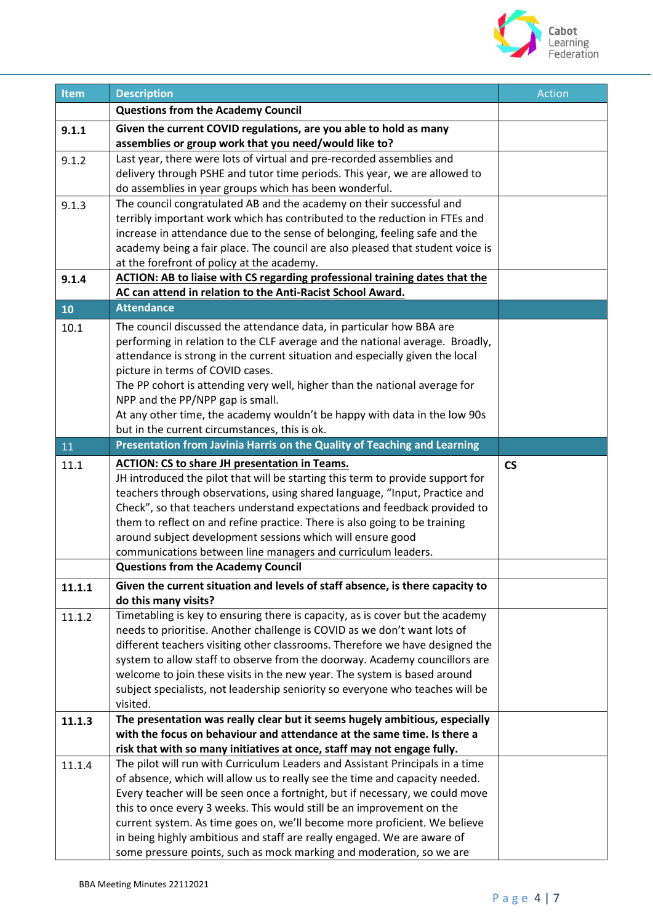

| Item   | <b>Description</b>                                                                                                                                     | <b>Action</b>            |
|--------|--------------------------------------------------------------------------------------------------------------------------------------------------------|--------------------------|
|        | <b>Questions from the Academy Council</b>                                                                                                              |                          |
|        |                                                                                                                                                        |                          |
| 9.1.1  | Given the current COVID regulations, are you able to hold as many<br>assemblies or group work that you need/would like to?                             |                          |
|        | Last year, there were lots of virtual and pre-recorded assemblies and                                                                                  |                          |
| 9.1.2  | delivery through PSHE and tutor time periods. This year, we are allowed to                                                                             |                          |
|        | do assemblies in year groups which has been wonderful.                                                                                                 |                          |
| 9.1.3  | The council congratulated AB and the academy on their successful and                                                                                   |                          |
|        | terribly important work which has contributed to the reduction in FTEs and                                                                             |                          |
|        | increase in attendance due to the sense of belonging, feeling safe and the                                                                             |                          |
|        | academy being a fair place. The council are also pleased that student voice is                                                                         |                          |
|        | at the forefront of policy at the academy.                                                                                                             |                          |
| 9.1.4  | <b>ACTION: AB to liaise with CS regarding professional training dates that the</b>                                                                     |                          |
|        | AC can attend in relation to the Anti-Racist School Award.                                                                                             |                          |
| 10     | <b>Attendance</b>                                                                                                                                      |                          |
| 10.1   | The council discussed the attendance data, in particular how BBA are                                                                                   |                          |
|        | performing in relation to the CLF average and the national average. Broadly,                                                                           |                          |
|        | attendance is strong in the current situation and especially given the local                                                                           |                          |
|        | picture in terms of COVID cases.                                                                                                                       |                          |
|        | The PP cohort is attending very well, higher than the national average for                                                                             |                          |
|        | NPP and the PP/NPP gap is small.                                                                                                                       |                          |
|        | At any other time, the academy wouldn't be happy with data in the low 90s                                                                              |                          |
|        | but in the current circumstances, this is ok.                                                                                                          |                          |
| 11     | Presentation from Javinia Harris on the Quality of Teaching and Learning                                                                               |                          |
| 11.1   | <b>ACTION: CS to share JH presentation in Teams.</b>                                                                                                   | $\mathsf{CS}\phantom{0}$ |
|        | JH introduced the pilot that will be starting this term to provide support for                                                                         |                          |
|        | teachers through observations, using shared language, "Input, Practice and                                                                             |                          |
|        | Check", so that teachers understand expectations and feedback provided to                                                                              |                          |
|        | them to reflect on and refine practice. There is also going to be training                                                                             |                          |
|        | around subject development sessions which will ensure good                                                                                             |                          |
|        | communications between line managers and curriculum leaders.                                                                                           |                          |
|        | <b>Questions from the Academy Council</b>                                                                                                              |                          |
| 11.1.1 | Given the current situation and levels of staff absence, is there capacity to                                                                          |                          |
|        | do this many visits?                                                                                                                                   |                          |
| 11.1.2 | Timetabling is key to ensuring there is capacity, as is cover but the academy                                                                          |                          |
|        | needs to prioritise. Another challenge is COVID as we don't want lots of                                                                               |                          |
|        | different teachers visiting other classrooms. Therefore we have designed the                                                                           |                          |
|        | system to allow staff to observe from the doorway. Academy councillors are<br>welcome to join these visits in the new year. The system is based around |                          |
|        | subject specialists, not leadership seniority so everyone who teaches will be                                                                          |                          |
|        | visited.                                                                                                                                               |                          |
| 11.1.3 | The presentation was really clear but it seems hugely ambitious, especially                                                                            |                          |
|        | with the focus on behaviour and attendance at the same time. Is there a                                                                                |                          |
|        | risk that with so many initiatives at once, staff may not engage fully.                                                                                |                          |
| 11.1.4 | The pilot will run with Curriculum Leaders and Assistant Principals in a time                                                                          |                          |
|        | of absence, which will allow us to really see the time and capacity needed.                                                                            |                          |
|        | Every teacher will be seen once a fortnight, but if necessary, we could move                                                                           |                          |
|        | this to once every 3 weeks. This would still be an improvement on the                                                                                  |                          |
|        | current system. As time goes on, we'll become more proficient. We believe                                                                              |                          |
|        | in being highly ambitious and staff are really engaged. We are aware of                                                                                |                          |
|        | some pressure points, such as mock marking and moderation, so we are                                                                                   |                          |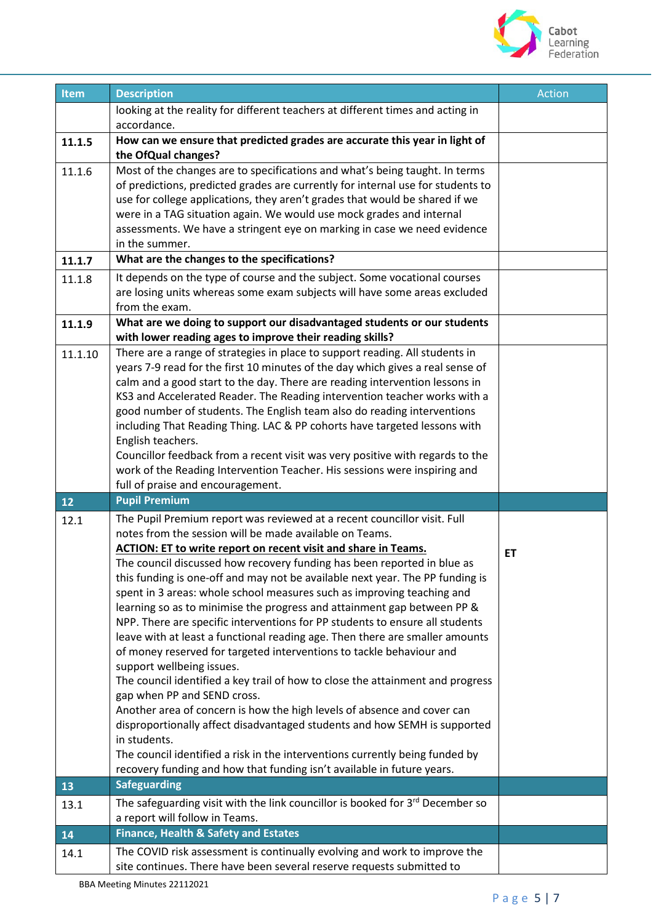

| Item         | <b>Description</b>                                                                                                                                                                                                                                                                                                                                                                                                                                                                                                                                                                                                                                                                                                                                                                                                                                                                                                                                                                                                                                                                                                                                                                                                                                    | <b>Action</b> |
|--------------|-------------------------------------------------------------------------------------------------------------------------------------------------------------------------------------------------------------------------------------------------------------------------------------------------------------------------------------------------------------------------------------------------------------------------------------------------------------------------------------------------------------------------------------------------------------------------------------------------------------------------------------------------------------------------------------------------------------------------------------------------------------------------------------------------------------------------------------------------------------------------------------------------------------------------------------------------------------------------------------------------------------------------------------------------------------------------------------------------------------------------------------------------------------------------------------------------------------------------------------------------------|---------------|
|              | looking at the reality for different teachers at different times and acting in                                                                                                                                                                                                                                                                                                                                                                                                                                                                                                                                                                                                                                                                                                                                                                                                                                                                                                                                                                                                                                                                                                                                                                        |               |
|              | accordance.                                                                                                                                                                                                                                                                                                                                                                                                                                                                                                                                                                                                                                                                                                                                                                                                                                                                                                                                                                                                                                                                                                                                                                                                                                           |               |
| 11.1.5       | How can we ensure that predicted grades are accurate this year in light of<br>the OfQual changes?                                                                                                                                                                                                                                                                                                                                                                                                                                                                                                                                                                                                                                                                                                                                                                                                                                                                                                                                                                                                                                                                                                                                                     |               |
| 11.1.6       | Most of the changes are to specifications and what's being taught. In terms<br>of predictions, predicted grades are currently for internal use for students to<br>use for college applications, they aren't grades that would be shared if we<br>were in a TAG situation again. We would use mock grades and internal<br>assessments. We have a stringent eye on marking in case we need evidence<br>in the summer.                                                                                                                                                                                                                                                                                                                                                                                                                                                                                                                                                                                                                                                                                                                                                                                                                                   |               |
| 11.1.7       | What are the changes to the specifications?                                                                                                                                                                                                                                                                                                                                                                                                                                                                                                                                                                                                                                                                                                                                                                                                                                                                                                                                                                                                                                                                                                                                                                                                           |               |
| 11.1.8       | It depends on the type of course and the subject. Some vocational courses<br>are losing units whereas some exam subjects will have some areas excluded<br>from the exam.                                                                                                                                                                                                                                                                                                                                                                                                                                                                                                                                                                                                                                                                                                                                                                                                                                                                                                                                                                                                                                                                              |               |
| 11.1.9       | What are we doing to support our disadvantaged students or our students<br>with lower reading ages to improve their reading skills?                                                                                                                                                                                                                                                                                                                                                                                                                                                                                                                                                                                                                                                                                                                                                                                                                                                                                                                                                                                                                                                                                                                   |               |
| 11.1.10      | There are a range of strategies in place to support reading. All students in<br>years 7-9 read for the first 10 minutes of the day which gives a real sense of<br>calm and a good start to the day. There are reading intervention lessons in<br>KS3 and Accelerated Reader. The Reading intervention teacher works with a<br>good number of students. The English team also do reading interventions<br>including That Reading Thing. LAC & PP cohorts have targeted lessons with<br>English teachers.<br>Councillor feedback from a recent visit was very positive with regards to the<br>work of the Reading Intervention Teacher. His sessions were inspiring and<br>full of praise and encouragement.                                                                                                                                                                                                                                                                                                                                                                                                                                                                                                                                            |               |
| $\boxed{12}$ | <b>Pupil Premium</b>                                                                                                                                                                                                                                                                                                                                                                                                                                                                                                                                                                                                                                                                                                                                                                                                                                                                                                                                                                                                                                                                                                                                                                                                                                  |               |
| 12.1         | The Pupil Premium report was reviewed at a recent councillor visit. Full<br>notes from the session will be made available on Teams.<br><b>ACTION: ET to write report on recent visit and share in Teams.</b><br>The council discussed how recovery funding has been reported in blue as<br>this funding is one-off and may not be available next year. The PP funding is<br>spent in 3 areas: whole school measures such as improving teaching and<br>learning so as to minimise the progress and attainment gap between PP &<br>NPP. There are specific interventions for PP students to ensure all students<br>leave with at least a functional reading age. Then there are smaller amounts<br>of money reserved for targeted interventions to tackle behaviour and<br>support wellbeing issues.<br>The council identified a key trail of how to close the attainment and progress<br>gap when PP and SEND cross.<br>Another area of concern is how the high levels of absence and cover can<br>disproportionally affect disadvantaged students and how SEMH is supported<br>in students.<br>The council identified a risk in the interventions currently being funded by<br>recovery funding and how that funding isn't available in future years. | ET            |
| 13           | <b>Safeguarding</b>                                                                                                                                                                                                                                                                                                                                                                                                                                                                                                                                                                                                                                                                                                                                                                                                                                                                                                                                                                                                                                                                                                                                                                                                                                   |               |
| 13.1         | The safeguarding visit with the link councillor is booked for 3rd December so<br>a report will follow in Teams.                                                                                                                                                                                                                                                                                                                                                                                                                                                                                                                                                                                                                                                                                                                                                                                                                                                                                                                                                                                                                                                                                                                                       |               |
| 14           | <b>Finance, Health &amp; Safety and Estates</b>                                                                                                                                                                                                                                                                                                                                                                                                                                                                                                                                                                                                                                                                                                                                                                                                                                                                                                                                                                                                                                                                                                                                                                                                       |               |
| 14.1         | The COVID risk assessment is continually evolving and work to improve the<br>site continues. There have been several reserve requests submitted to                                                                                                                                                                                                                                                                                                                                                                                                                                                                                                                                                                                                                                                                                                                                                                                                                                                                                                                                                                                                                                                                                                    |               |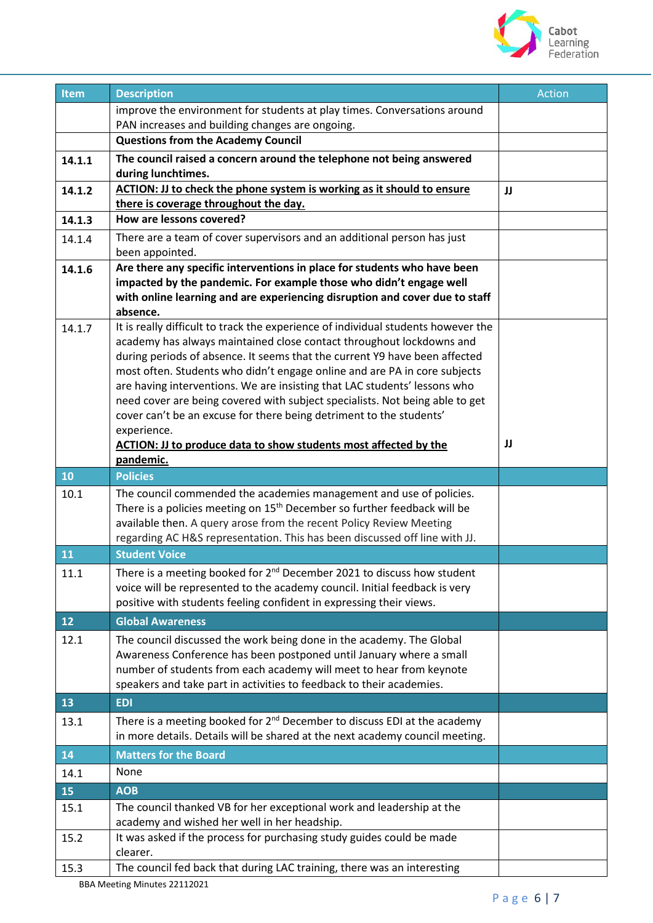

| <b>Item</b> | <b>Description</b>                                                                                                                                                                                                                                                                                                                                                                                                                                                                                                                                                                                                                                 | Action |
|-------------|----------------------------------------------------------------------------------------------------------------------------------------------------------------------------------------------------------------------------------------------------------------------------------------------------------------------------------------------------------------------------------------------------------------------------------------------------------------------------------------------------------------------------------------------------------------------------------------------------------------------------------------------------|--------|
|             | improve the environment for students at play times. Conversations around                                                                                                                                                                                                                                                                                                                                                                                                                                                                                                                                                                           |        |
|             | PAN increases and building changes are ongoing.                                                                                                                                                                                                                                                                                                                                                                                                                                                                                                                                                                                                    |        |
|             | <b>Questions from the Academy Council</b>                                                                                                                                                                                                                                                                                                                                                                                                                                                                                                                                                                                                          |        |
| 14.1.1      | The council raised a concern around the telephone not being answered<br>during lunchtimes.                                                                                                                                                                                                                                                                                                                                                                                                                                                                                                                                                         |        |
| 14.1.2      | ACTION: JJ to check the phone system is working as it should to ensure                                                                                                                                                                                                                                                                                                                                                                                                                                                                                                                                                                             | JJ     |
| 14.1.3      | there is coverage throughout the day.<br>How are lessons covered?                                                                                                                                                                                                                                                                                                                                                                                                                                                                                                                                                                                  |        |
|             |                                                                                                                                                                                                                                                                                                                                                                                                                                                                                                                                                                                                                                                    |        |
| 14.1.4      | There are a team of cover supervisors and an additional person has just<br>been appointed.                                                                                                                                                                                                                                                                                                                                                                                                                                                                                                                                                         |        |
| 14.1.6      | Are there any specific interventions in place for students who have been<br>impacted by the pandemic. For example those who didn't engage well<br>with online learning and are experiencing disruption and cover due to staff<br>absence.                                                                                                                                                                                                                                                                                                                                                                                                          |        |
| 14.1.7      | It is really difficult to track the experience of individual students however the<br>academy has always maintained close contact throughout lockdowns and<br>during periods of absence. It seems that the current Y9 have been affected<br>most often. Students who didn't engage online and are PA in core subjects<br>are having interventions. We are insisting that LAC students' lessons who<br>need cover are being covered with subject specialists. Not being able to get<br>cover can't be an excuse for there being detriment to the students'<br>experience.<br><b>ACTION: JJ to produce data to show students most affected by the</b> | IJ     |
| 10          | pandemic.<br><b>Policies</b>                                                                                                                                                                                                                                                                                                                                                                                                                                                                                                                                                                                                                       |        |
| 10.1        | The council commended the academies management and use of policies.                                                                                                                                                                                                                                                                                                                                                                                                                                                                                                                                                                                |        |
|             | There is a policies meeting on 15 <sup>th</sup> December so further feedback will be<br>available then. A query arose from the recent Policy Review Meeting<br>regarding AC H&S representation. This has been discussed off line with JJ.                                                                                                                                                                                                                                                                                                                                                                                                          |        |
| 11          | <b>Student Voice</b>                                                                                                                                                                                                                                                                                                                                                                                                                                                                                                                                                                                                                               |        |
| 11.1        | There is a meeting booked for 2 <sup>nd</sup> December 2021 to discuss how student<br>voice will be represented to the academy council. Initial feedback is very<br>positive with students feeling confident in expressing their views.                                                                                                                                                                                                                                                                                                                                                                                                            |        |
| 12          | <b>Global Awareness</b>                                                                                                                                                                                                                                                                                                                                                                                                                                                                                                                                                                                                                            |        |
| 12.1        | The council discussed the work being done in the academy. The Global<br>Awareness Conference has been postponed until January where a small<br>number of students from each academy will meet to hear from keynote<br>speakers and take part in activities to feedback to their academies.                                                                                                                                                                                                                                                                                                                                                         |        |
| 13          | <b>EDI</b>                                                                                                                                                                                                                                                                                                                                                                                                                                                                                                                                                                                                                                         |        |
| 13.1        | There is a meeting booked for 2 <sup>nd</sup> December to discuss EDI at the academy<br>in more details. Details will be shared at the next academy council meeting.                                                                                                                                                                                                                                                                                                                                                                                                                                                                               |        |
| 14          | <b>Matters for the Board</b>                                                                                                                                                                                                                                                                                                                                                                                                                                                                                                                                                                                                                       |        |
| 14.1        | None                                                                                                                                                                                                                                                                                                                                                                                                                                                                                                                                                                                                                                               |        |
| 15          | <b>AOB</b>                                                                                                                                                                                                                                                                                                                                                                                                                                                                                                                                                                                                                                         |        |
| 15.1        | The council thanked VB for her exceptional work and leadership at the                                                                                                                                                                                                                                                                                                                                                                                                                                                                                                                                                                              |        |
|             | academy and wished her well in her headship.                                                                                                                                                                                                                                                                                                                                                                                                                                                                                                                                                                                                       |        |
| 15.2        | It was asked if the process for purchasing study guides could be made<br>clearer.                                                                                                                                                                                                                                                                                                                                                                                                                                                                                                                                                                  |        |
| 15.3        | The council fed back that during LAC training, there was an interesting                                                                                                                                                                                                                                                                                                                                                                                                                                                                                                                                                                            |        |